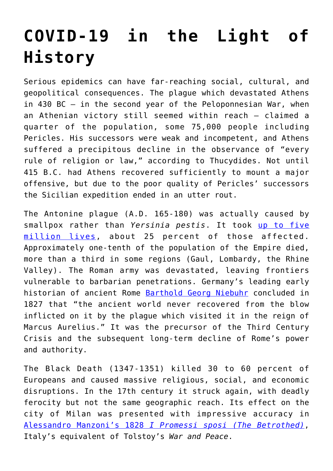## **[COVID-19 in the Light of](https://intellectualtakeout.org/2020/03/covid-19-in-the-light-of-history/) [History](https://intellectualtakeout.org/2020/03/covid-19-in-the-light-of-history/)**

Serious epidemics can have far-reaching social, cultural, and geopolitical consequences. The plague which devastated Athens in 430 BC – in the second year of the Peloponnesian War, when an Athenian victory still seemed within reach – claimed a quarter of the population, some 75,000 people including Pericles. His successors were weak and incompetent, and Athens suffered a precipitous decline in the observance of "every rule of religion or law," according to Thucydides. Not until 415 B.C. had Athens recovered sufficiently to mount a major offensive, but due to the poor quality of Pericles' successors the Sicilian expedition ended in an utter rout.

The Antonine plague (A.D. 165-180) was actually caused by smallpox rather than *Yersinia pestis*. It took [up to five](http://news.bbc.co.uk/2/hi/health/4381924.stm) [million lives,](http://news.bbc.co.uk/2/hi/health/4381924.stm) about 25 percent of those affected. Approximately one-tenth of the population of the Empire died, more than a third in some regions (Gaul, Lombardy, the Rhine Valley). The Roman army was devastated, leaving frontiers vulnerable to barbarian penetrations. Germany's leading early historian of ancient Rome [Barthold Georg Niebuhr](https://en.wikipedia.org/wiki/Barthold_Georg_Niebuhr) concluded in 1827 that "the ancient world never recovered from the blow inflicted on it by the plague which visited it in the reign of Marcus Aurelius." It was the precursor of the Third Century Crisis and the subsequent long-term decline of Rome's power and authority.

The Black Death (1347-1351) killed 30 to 60 percent of Europeans and caused massive religious, social, and economic disruptions. In the 17th century it struck again, with deadly ferocity but not the same geographic reach. Its effect on the city of Milan was presented with impressive accuracy in [Alessandro Manzoni's 1828](https://it.wikisource.org/wiki/I_promessi_sposi_(1840)/Capitolo_XXXIV) *[I Promessi sposi \(The Betrothed\)](https://it.wikisource.org/wiki/I_promessi_sposi_(1840)/Capitolo_XXXIV)*, Italy's equivalent of Tolstoy's *War and Peace*.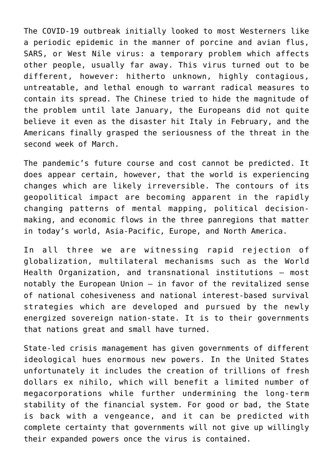The COVID-19 outbreak initially looked to most Westerners like a periodic epidemic in the manner of porcine and avian flus, SARS, or West Nile virus: a temporary problem which affects other people, usually far away. This virus turned out to be different, however: hitherto unknown, highly contagious, untreatable, and lethal enough to warrant radical measures to contain its spread. The Chinese tried to hide the magnitude of the problem until late January, the Europeans did not quite believe it even as the disaster hit Italy in February, and the Americans finally grasped the seriousness of the threat in the second week of March.

The pandemic's future course and cost cannot be predicted. It does appear certain, however, that the world is experiencing changes which are likely irreversible. The contours of its geopolitical impact are becoming apparent in the rapidly changing patterns of mental mapping, political decisionmaking, and economic flows in the three panregions that matter in today's world, Asia-Pacific, Europe, and North America.

In all three we are witnessing rapid rejection of globalization, multilateral mechanisms such as the World Health Organization, and transnational institutions – most notably the European Union – in favor of the revitalized sense of national cohesiveness and national interest-based survival strategies which are developed and pursued by the newly energized sovereign nation-state. It is to their governments that nations great and small have turned.

State-led crisis management has given governments of different ideological hues enormous new powers. In the United States unfortunately it includes the creation of trillions of fresh dollars ex nihilo, which will benefit a limited number of megacorporations while further undermining the long-term stability of the financial system. For good or bad, the State is back with a vengeance, and it can be predicted with complete certainty that governments will not give up willingly their expanded powers once the virus is contained.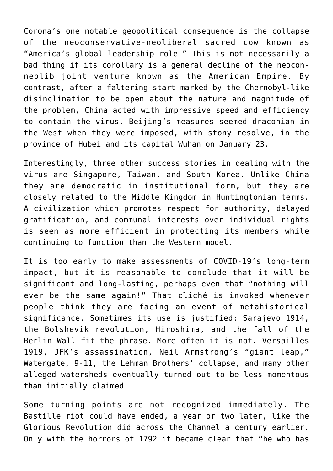Corona's one notable geopolitical consequence is the collapse of the neoconservative-neoliberal sacred cow known as "America's global leadership role." This is not necessarily a bad thing if its corollary is a general decline of the neoconneolib joint venture known as the American Empire. By contrast, after a faltering start marked by the Chernobyl-like disinclination to be open about the nature and magnitude of the problem, China acted with impressive speed and efficiency to contain the virus. Beijing's measures seemed draconian in the West when they were imposed, with stony resolve, in the province of Hubei and its capital Wuhan on January 23.

Interestingly, three other success stories in dealing with the virus are Singapore, Taiwan, and South Korea. Unlike China they are democratic in institutional form, but they are closely related to the Middle Kingdom in Huntingtonian terms. A civilization which promotes respect for authority, delayed gratification, and communal interests over individual rights is seen as more efficient in protecting its members while continuing to function than the Western model.

It is too early to make assessments of COVID-19's long-term impact, but it is reasonable to conclude that it will be significant and long-lasting, perhaps even that "nothing will ever be the same again!" That cliché is invoked whenever people think they are facing an event of metahistorical significance. Sometimes its use is justified: Sarajevo 1914, the Bolshevik revolution, Hiroshima, and the fall of the Berlin Wall fit the phrase. More often it is not. Versailles 1919, JFK's assassination, Neil Armstrong's "giant leap," Watergate, 9-11, the Lehman Brothers' collapse, and many other alleged watersheds eventually turned out to be less momentous than initially claimed.

Some turning points are not recognized immediately. The Bastille riot could have ended, a year or two later, like the Glorious Revolution did across the Channel a century earlier. Only with the horrors of 1792 it became clear that "he who has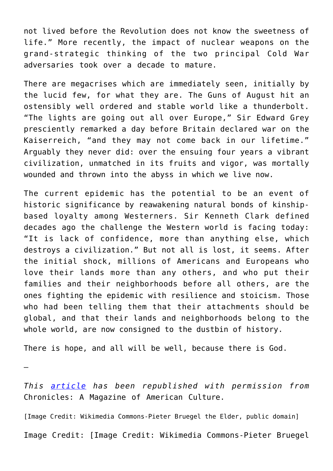not lived before the Revolution does not know the sweetness of life." More recently, the impact of nuclear weapons on the grand-strategic thinking of the two principal Cold War adversaries took over a decade to mature.

There are megacrises which are immediately seen, initially by the lucid few, for what they are. The Guns of August hit an ostensibly well ordered and stable world like a thunderbolt. "The lights are going out all over Europe," Sir Edward Grey presciently remarked a day before Britain declared war on the Kaiserreich, "and they may not come back in our lifetime." Arguably they never did: over the ensuing four years a vibrant civilization, unmatched in its fruits and vigor, was mortally wounded and thrown into the abyss in which we live now.

The current epidemic has the potential to be an event of historic significance by reawakening natural bonds of kinshipbased loyalty among Westerners. Sir Kenneth Clark defined decades ago the challenge the Western world is facing today: "It is lack of confidence, more than anything else, which destroys a civilization." But not all is lost, it seems. After the initial shock, millions of Americans and Europeans who love their lands more than any others, and who put their families and their neighborhoods before all others, are the ones fighting the epidemic with resilience and stoicism. Those who had been telling them that their attachments should be global, and that their lands and neighborhoods belong to the whole world, are now consigned to the dustbin of history.

There is hope, and all will be well, because there is God.

—

*This [article](https://www.chroniclesmagazine.org/blog/covid-19-in-the-light-of-history/) has been republished with permission from* Chronicles: A Magazine of American Culture.

[Image Credit: Wikimedia Commons-Pieter Bruegel the Elder, public domain]

Image Credit: [Image Credit: Wikimedia Commons-Pieter Bruegel